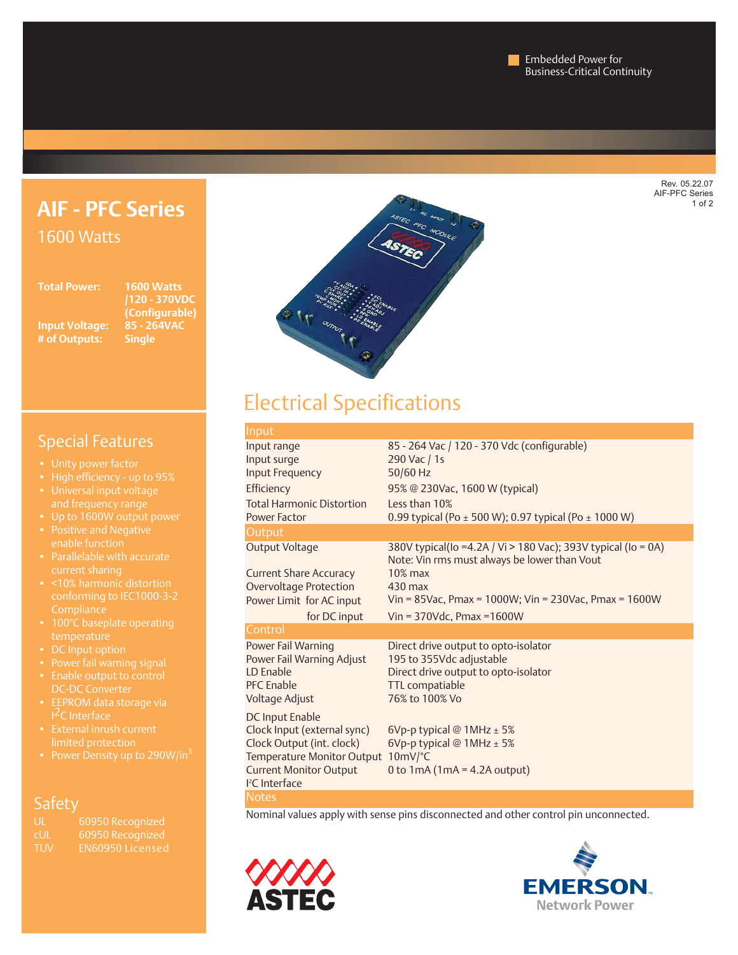Rev. 05.22.07 AIF-PFC Series  $\frac{1}{1}$  of 2

# **AIF - PFC Series** 1600 Watts

**Total Power: 1600 Watts**

**Input Voltage: # of Outputs: Single**

**/120 - 370VDC (Configurable)**



# Electrical Specifications

| Input                              |                                                                                                               |  |  |
|------------------------------------|---------------------------------------------------------------------------------------------------------------|--|--|
| Input range                        | 85 - 264 Vac / 120 - 370 Vdc (configurable)                                                                   |  |  |
| Input surge                        | 290 Vac / 1s                                                                                                  |  |  |
| <b>Input Frequency</b>             | 50/60 Hz                                                                                                      |  |  |
| Efficiency                         | 95% @ 230Vac, 1600 W (typical)                                                                                |  |  |
| <b>Total Harmonic Distortion</b>   | Less than 10%                                                                                                 |  |  |
| Power Factor                       | 0.99 typical (Po $\pm$ 500 W); 0.97 typical (Po $\pm$ 1000 W)                                                 |  |  |
| Output                             |                                                                                                               |  |  |
| <b>Output Voltage</b>              | 380V typical(Io =4.2A / Vi > 180 Vac); 393V typical (Io = 0A)<br>Note: Vin rms must always be lower than Vout |  |  |
| <b>Current Share Accuracy</b>      | $10\%$ max                                                                                                    |  |  |
| Overvoltage Protection             | $430$ max                                                                                                     |  |  |
| Power Limit for AC input           | Vin = $85$ Vac, Pmax = $1000W$ ; Vin = $230$ Vac, Pmax = $1600W$                                              |  |  |
| for DC input                       | Vin = $370$ Vdc, Pmax = $1600$ W                                                                              |  |  |
| Control                            |                                                                                                               |  |  |
| Power Fail Warning                 | Direct drive output to opto-isolator                                                                          |  |  |
| Power Fail Warning Adjust          | 195 to 355Vdc adjustable                                                                                      |  |  |
| <b>ID</b> Fnable                   | Direct drive output to opto-isolator                                                                          |  |  |
| <b>PFC</b> Enable                  | TTL compatiable                                                                                               |  |  |
| Voltage Adjust                     | 76% to 100% Vo                                                                                                |  |  |
| <b>DC Input Enable</b>             |                                                                                                               |  |  |
| Clock Input (external sync)        | 6Vp-p typical $@$ 1MHz $±$ 5%                                                                                 |  |  |
| Clock Output (int. clock)          | 6Vp-p typical $@$ 1MHz $±$ 5%                                                                                 |  |  |
| Temperature Monitor Output 10mV/°C |                                                                                                               |  |  |
| <b>Current Monitor Output</b>      | 0 to $1mA(1mA = 4.2A output)$                                                                                 |  |  |
| <sup>2</sup> C Interface           |                                                                                                               |  |  |
| <b>Notes</b>                       |                                                                                                               |  |  |

Nominal values apply with sense pins disconnected and other control pin unconnected.





# Special Features

- 
- 
- 
- 
- 
- Parallelable with accurate
- 
- 
- 
- 
- 
- 
- External inrush current limited protection
- 

## **Safety**

| UL         | 60950 Recognized |
|------------|------------------|
| <b>CUL</b> | 60950 Recognized |
| TUV        | EN60950 Licensed |